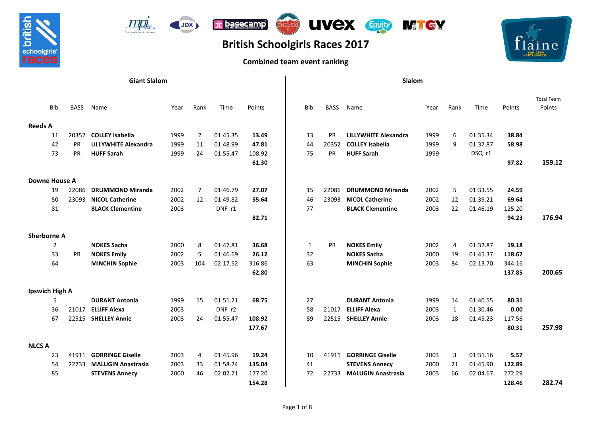





## **British Schoolgirls Races 2017**

## **Combined team event ranking**



|                      | <b>Giant Slalom</b> |                             |      |                |          |        |              | Slalom      |                             |      |                |          |        |  |  |
|----------------------|---------------------|-----------------------------|------|----------------|----------|--------|--------------|-------------|-----------------------------|------|----------------|----------|--------|--|--|
|                      |                     |                             |      |                |          |        |              |             |                             |      |                |          |        |  |  |
| Bib.                 | <b>BASS</b>         | Name                        | Year | Rank           | Time     | Points | Bib.         | <b>BASS</b> | Name                        | Year | Rank           | Time     | Points |  |  |
| <b>Reeds A</b>       |                     |                             |      |                |          |        |              |             |                             |      |                |          |        |  |  |
| 11                   | 20352               | <b>COLLEY Isabella</b>      | 1999 | 2              | 01:45.35 | 13.49  | 13           | PR          | <b>LILLYWHITE Alexandra</b> | 1999 | 6              | 01:35.34 | 38.84  |  |  |
| 42                   | <b>PR</b>           | <b>LILLYWHITE Alexandra</b> | 1999 | 11             | 01:48.99 | 47.81  | 44           | 20352       | <b>COLLEY Isabella</b>      | 1999 | 9              | 01:37.87 | 58.98  |  |  |
| 73                   | <b>PR</b>           | <b>HUFF Sarah</b>           | 1999 | 24             | 01:55.47 | 108.92 | 75           | <b>PR</b>   | <b>HUFF Sarah</b>           | 1999 |                | DSQ r1   |        |  |  |
|                      |                     |                             |      |                |          | 61.30  |              |             |                             |      |                |          | 97.82  |  |  |
| <b>Downe House A</b> |                     |                             |      |                |          |        |              |             |                             |      |                |          |        |  |  |
| 19                   | 22086               | <b>DRUMMOND Miranda</b>     | 2002 | $\overline{7}$ | 01:46.79 | 27.07  | 15           | 22086       | <b>DRUMMOND Miranda</b>     | 2002 | 5              | 01:33.55 | 24.59  |  |  |
| 50                   | 23093               | <b>NICOL Catherine</b>      | 2002 | 12             | 01:49.82 | 55.64  | 46           | 23093       | <b>NICOL Catherine</b>      | 2002 | 12             | 01:39.21 | 69.64  |  |  |
| 81                   |                     | <b>BLACK Clementine</b>     | 2003 |                | DNF r1   |        | 77           |             | <b>BLACK Clementine</b>     | 2003 | 22             | 01:46.19 | 125.20 |  |  |
|                      |                     |                             |      |                |          | 82.71  |              |             |                             |      |                |          | 94.23  |  |  |
| <b>Sherborne A</b>   |                     |                             |      |                |          |        |              |             |                             |      |                |          |        |  |  |
|                      | $\overline{2}$      | <b>NOKES Sacha</b>          | 2000 | 8              | 01:47.81 | 36.68  | $\mathbf{1}$ | PR          | <b>NOKES Emily</b>          | 2002 | $\overline{4}$ | 01:32.87 | 19.18  |  |  |
| 33                   | <b>PR</b>           | <b>NOKES Emily</b>          | 2002 | 5              | 01:46.69 | 26.12  | 32           |             | <b>NOKES Sacha</b>          | 2000 | 19             | 01:45.37 | 118.67 |  |  |
| 64                   |                     | <b>MINCHIN Sophie</b>       | 2003 | 104            | 02:17.52 | 316.86 | 63           |             | <b>MINCHIN Sophie</b>       | 2003 | 84             | 02:13.70 | 344.16 |  |  |
|                      |                     |                             |      |                |          | 62.80  |              |             |                             |      |                |          | 137.85 |  |  |
| Ipswich High A       |                     |                             |      |                |          |        |              |             |                             |      |                |          |        |  |  |
|                      | 5                   | <b>DURANT Antonia</b>       | 1999 | 15             | 01:51.21 | 68.75  | 27           |             | <b>DURANT Antonia</b>       | 1999 | 14             | 01:40.55 | 80.31  |  |  |
| 36                   | 21017               | <b>ELLIFF Alexa</b>         | 2003 |                | DNF r2   |        | 58           | 21017       | <b>ELLIFF Alexa</b>         | 2003 | 1              | 01:30.46 | 0.00   |  |  |
| 67                   | 22515               | <b>SHELLEY Annie</b>        | 2003 | 24             | 01:55.47 | 108.92 | 89           | 22515       | <b>SHELLEY Annie</b>        | 2003 | 18             | 01:45.23 | 117.56 |  |  |
|                      |                     |                             |      |                |          | 177.67 |              |             |                             |      |                |          | 80.31  |  |  |
| <b>NLCS A</b>        |                     |                             |      |                |          |        |              |             |                             |      |                |          |        |  |  |
| 23                   | 41911               | <b>GORRINGE Giselle</b>     | 2003 | 4              | 01:45.96 | 19.24  | 10           | 41911       | <b>GORRINGE Giselle</b>     | 2003 | 3              | 01:31.16 | 5.57   |  |  |
| 54                   | 22733               | <b>MALUGIN Anastrasia</b>   | 2003 | 33             | 01:58.24 | 135.04 | 41           |             | <b>STEVENS Annecy</b>       | 2000 | 21             | 01:45.90 | 122.89 |  |  |
| 85                   |                     | <b>STEVENS Annecy</b>       | 2000 | 46             | 02:02.71 | 177.20 | 72           | 22733       | <b>MALUGIN Anastrasia</b>   | 2003 | 66             | 02:04.67 | 272.29 |  |  |
|                      |                     |                             |      |                |          | 154.28 |              |             |                             |      |                |          | 128.46 |  |  |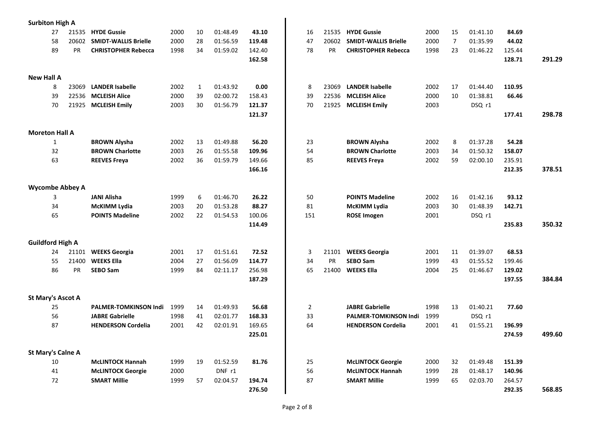| <b>Surbiton High A</b>   |       |                              |      |              |          |        |                |           |                              |      |                |          |        |
|--------------------------|-------|------------------------------|------|--------------|----------|--------|----------------|-----------|------------------------------|------|----------------|----------|--------|
| 27                       | 21535 | <b>HYDE Gussie</b>           | 2000 | 10           | 01:48.49 | 43.10  | 16             | 21535     | <b>HYDE Gussie</b>           | 2000 | 15             | 01:41.10 | 84.69  |
| 58                       | 20602 | <b>SMIDT-WALLIS Brielle</b>  | 2000 | 28           | 01:56.59 | 119.48 | 47             | 20602     | <b>SMIDT-WALLIS Brielle</b>  | 2000 | $\overline{7}$ | 01:35.99 | 44.02  |
| 89                       | PR    | <b>CHRISTOPHER Rebecca</b>   | 1998 | 34           | 01:59.02 | 142.40 | 78             | <b>PR</b> | <b>CHRISTOPHER Rebecca</b>   | 1998 | 23             | 01:46.22 | 125.44 |
|                          |       |                              |      |              |          | 162.58 |                |           |                              |      |                |          | 128.71 |
|                          |       |                              |      |              |          |        |                |           |                              |      |                |          |        |
| <b>New Hall A</b>        |       |                              |      |              |          |        |                |           |                              |      |                |          |        |
| 8                        | 23069 | <b>LANDER Isabelle</b>       | 2002 | $\mathbf{1}$ | 01:43.92 | 0.00   | 8              | 23069     | <b>LANDER Isabelle</b>       | 2002 | 17             | 01:44.40 | 110.95 |
| 39                       | 22536 | <b>MCLEISH Alice</b>         | 2000 | 39           | 02:00.72 | 158.43 | 39             | 22536     | <b>MCLEISH Alice</b>         | 2000 | 10             | 01:38.81 | 66.46  |
| 70                       | 21925 | <b>MCLEISH Emily</b>         | 2003 | 30           | 01:56.79 | 121.37 | 70             | 21925     | <b>MCLEISH Emily</b>         | 2003 |                | DSQ r1   |        |
|                          |       |                              |      |              |          | 121.37 |                |           |                              |      |                |          | 177.41 |
| <b>Moreton Hall A</b>    |       |                              |      |              |          |        |                |           |                              |      |                |          |        |
| 1                        |       | <b>BROWN Alysha</b>          | 2002 | 13           | 01:49.88 | 56.20  | 23             |           | <b>BROWN Alysha</b>          | 2002 | 8              | 01:37.28 | 54.28  |
| 32                       |       | <b>BROWN Charlotte</b>       | 2003 | 26           | 01:55.58 | 109.96 | 54             |           | <b>BROWN Charlotte</b>       | 2003 | 34             | 01:50.32 | 158.07 |
| 63                       |       | <b>REEVES Freva</b>          | 2002 | 36           | 01:59.79 | 149.66 | 85             |           | <b>REEVES Freya</b>          | 2002 | 59             | 02:00.10 | 235.91 |
|                          |       |                              |      |              |          | 166.16 |                |           |                              |      |                |          | 212.35 |
| <b>Wycombe Abbey A</b>   |       |                              |      |              |          |        |                |           |                              |      |                |          |        |
| 3                        |       | <b>JANI Alisha</b>           | 1999 | 6            | 01:46.70 | 26.22  | 50             |           | <b>POINTS Madeline</b>       | 2002 | 16             | 01:42.16 | 93.12  |
| 34                       |       | <b>McKIMM Lydia</b>          | 2003 | 20           | 01:53.28 | 88.27  | 81             |           | McKIMM Lydia                 | 2003 | 30             | 01:48.39 | 142.71 |
| 65                       |       | <b>POINTS Madeline</b>       | 2002 | 22           | 01:54.53 | 100.06 | 151            |           | <b>ROSE Imogen</b>           | 2001 |                | DSQ r1   |        |
|                          |       |                              |      |              |          | 114.49 |                |           |                              |      |                |          | 235.83 |
|                          |       |                              |      |              |          |        |                |           |                              |      |                |          |        |
| <b>Guildford High A</b>  |       |                              |      |              |          |        |                |           |                              |      |                |          |        |
| 24                       | 21101 | <b>WEEKS Georgia</b>         | 2001 | 17           | 01:51.61 | 72.52  | 3              | 21101     | <b>WEEKS Georgia</b>         | 2001 | 11             | 01:39.07 | 68.53  |
| 55                       | 21400 | <b>WEEKS Ella</b>            | 2004 | 27           | 01:56.09 | 114.77 | 34             | <b>PR</b> | <b>SEBO Sam</b>              | 1999 | 43             | 01:55.52 | 199.46 |
| 86                       | PR    | <b>SEBO Sam</b>              | 1999 | 84           | 02:11.17 | 256.98 | 65             | 21400     | <b>WEEKS Ella</b>            | 2004 | 25             | 01:46.67 | 129.02 |
|                          |       |                              |      |              |          | 187.29 |                |           |                              |      |                |          | 197.55 |
| <b>St Mary's Ascot A</b> |       |                              |      |              |          |        |                |           |                              |      |                |          |        |
| 25                       |       | <b>PALMER-TOMKINSON Indi</b> | 1999 | 14           | 01:49.93 | 56.68  | $\overline{2}$ |           | <b>JABRE Gabrielle</b>       | 1998 | 13             | 01:40.21 | 77.60  |
| 56                       |       | <b>JABRE Gabrielle</b>       | 1998 | 41           | 02:01.77 | 168.33 | 33             |           | <b>PALMER-TOMKINSON Indi</b> | 1999 |                | DSQ r1   |        |
| 87                       |       | <b>HENDERSON Cordelia</b>    | 2001 | 42           | 02:01.91 | 169.65 | 64             |           | <b>HENDERSON Cordelia</b>    | 2001 | 41             | 01:55.21 | 196.99 |
|                          |       |                              |      |              |          | 225.01 |                |           |                              |      |                |          | 274.59 |
| <b>St Mary's Calne A</b> |       |                              |      |              |          |        |                |           |                              |      |                |          |        |
| 10                       |       | <b>McLINTOCK Hannah</b>      | 1999 | 19           | 01:52.59 | 81.76  | 25             |           | <b>McLINTOCK Georgie</b>     | 2000 | 32             | 01:49.48 | 151.39 |
| 41                       |       | <b>McLINTOCK Georgie</b>     | 2000 |              | DNF r1   |        | 56             |           | <b>McLINTOCK Hannah</b>      | 1999 | 28             | 01:48.17 | 140.96 |
| 72                       |       | <b>SMART Millie</b>          | 1999 | 57           | 02:04.57 | 194.74 | 87             |           | <b>SMART Millie</b>          | 1999 | 65             | 02:03.70 | 264.57 |
|                          |       |                              |      |              |          | 276.50 |                |           |                              |      |                |          | 292.35 |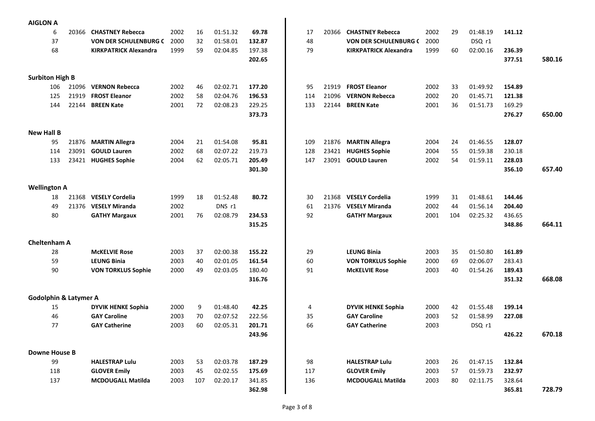| <b>AIGLON A</b>                  |                |                                              |      |     |          |        |     |                |                                               |              |     |          |        |  |
|----------------------------------|----------------|----------------------------------------------|------|-----|----------|--------|-----|----------------|-----------------------------------------------|--------------|-----|----------|--------|--|
| 6                                |                | 20366 CHASTNEY Rebecca                       | 2002 | 16  | 01:51.32 | 69.78  | 17  | 20366          | <b>CHASTNEY Rebecca</b>                       | 2002         | 29  | 01:48.19 | 141.12 |  |
| 37                               |                | <b>VON DER SCHULENBURG C</b>                 | 2000 | 32  | 01:58.01 | 132.87 | 48  |                | VON DER SCHULENBURG (                         | 2000         |     | DSQ r1   |        |  |
| 68                               |                | <b>KIRKPATRICK Alexandra</b>                 | 1999 | 59  | 02:04.85 | 197.38 | 79  |                | <b>KIRKPATRICK Alexandra</b>                  | 1999         | 60  | 02:00.16 | 236.39 |  |
|                                  |                |                                              |      |     |          | 202.65 |     |                |                                               |              |     |          | 377.51 |  |
| <b>Surbiton High B</b>           |                |                                              |      |     |          |        |     |                |                                               |              |     |          |        |  |
| 106                              | 21096          | <b>VERNON Rebecca</b>                        | 2002 | 46  | 02:02.71 | 177.20 | 95  | 21919          | <b>FROST Eleanor</b>                          | 2002         | 33  | 01:49.92 | 154.89 |  |
| 125                              | 21919          | <b>FROST Eleanor</b>                         | 2002 | 58  | 02:04.76 | 196.53 | 114 | 21096          | <b>VERNON Rebecca</b>                         | 2002         | 20  | 01:45.71 | 121.38 |  |
| 144                              | 22144          | <b>BREEN Kate</b>                            | 2001 | 72  | 02:08.23 | 229.25 | 133 | 22144          | <b>BREEN Kate</b>                             | 2001         | 36  | 01:51.73 | 169.29 |  |
|                                  |                |                                              |      |     |          | 373.73 |     |                |                                               |              |     |          | 276.27 |  |
|                                  |                |                                              |      |     |          |        |     |                |                                               |              |     |          |        |  |
| <b>New Hall B</b>                |                |                                              | 2004 | 21  | 01:54.08 | 95.81  | 109 |                |                                               |              | 24  | 01:46.55 | 128.07 |  |
| 95<br>114                        | 21876<br>23091 | <b>MARTIN Allegra</b><br><b>GOULD Lauren</b> | 2002 | 68  | 02:07.22 | 219.73 | 128 | 21876<br>23421 | <b>MARTIN Allegra</b><br><b>HUGHES Sophie</b> | 2004<br>2004 | 55  | 01:59.38 | 230.18 |  |
| 133                              | 23421          | <b>HUGHES Sophie</b>                         | 2004 | 62  | 02:05.71 | 205.49 | 147 | 23091          | <b>GOULD Lauren</b>                           | 2002         | 54  | 01:59.11 | 228.03 |  |
|                                  |                |                                              |      |     |          | 301.30 |     |                |                                               |              |     |          | 356.10 |  |
|                                  |                |                                              |      |     |          |        |     |                |                                               |              |     |          |        |  |
| <b>Wellington A</b>              |                |                                              |      |     |          |        |     |                |                                               |              |     |          |        |  |
| 18                               | 21368          | <b>VESELY Cordelia</b>                       | 1999 | 18  | 01:52.48 | 80.72  | 30  | 21368          | <b>VESELY Cordelia</b>                        | 1999         | 31  | 01:48.61 | 144.46 |  |
| 49                               | 21376          | <b>VESELY Miranda</b>                        | 2002 |     | DNS r1   |        | 61  | 21376          | <b>VESELY Miranda</b>                         | 2002         | 44  | 01:56.14 | 204.40 |  |
| 80                               |                | <b>GATHY Margaux</b>                         | 2001 | 76  | 02:08.79 | 234.53 | 92  |                | <b>GATHY Margaux</b>                          | 2001         | 104 | 02:25.32 | 436.65 |  |
|                                  |                |                                              |      |     |          | 315.25 |     |                |                                               |              |     |          | 348.86 |  |
| <b>Cheltenham A</b>              |                |                                              |      |     |          |        |     |                |                                               |              |     |          |        |  |
| 28                               |                | <b>McKELVIE Rose</b>                         | 2003 | 37  | 02:00.38 | 155.22 | 29  |                | <b>LEUNG Binia</b>                            | 2003         | 35  | 01:50.80 | 161.89 |  |
| 59                               |                | <b>LEUNG Binia</b>                           | 2003 | 40  | 02:01.05 | 161.54 | 60  |                | <b>VON TORKLUS Sophie</b>                     | 2000         | 69  | 02:06.07 | 283.43 |  |
| 90                               |                | <b>VON TORKLUS Sophie</b>                    | 2000 | 49  | 02:03.05 | 180.40 | 91  |                | <b>McKELVIE Rose</b>                          | 2003         | 40  | 01:54.26 | 189.43 |  |
|                                  |                |                                              |      |     |          | 316.76 |     |                |                                               |              |     |          | 351.32 |  |
| <b>Godolphin &amp; Latymer A</b> |                |                                              |      |     |          |        |     |                |                                               |              |     |          |        |  |
| 15                               |                | <b>DYVIK HENKE Sophia</b>                    | 2000 | 9   | 01:48.40 | 42.25  | 4   |                | <b>DYVIK HENKE Sophia</b>                     | 2000         | 42  | 01:55.48 | 199.14 |  |
| 46                               |                | <b>GAY Caroline</b>                          | 2003 | 70  | 02:07.52 | 222.56 | 35  |                | <b>GAY Caroline</b>                           | 2003         | 52  | 01:58.99 | 227.08 |  |
| 77                               |                | <b>GAY Catherine</b>                         | 2003 | 60  | 02:05.31 | 201.71 | 66  |                | <b>GAY Catherine</b>                          | 2003         |     | DSQ r1   |        |  |
|                                  |                |                                              |      |     |          | 243.96 |     |                |                                               |              |     |          | 426.22 |  |
| <b>Downe House B</b>             |                |                                              |      |     |          |        |     |                |                                               |              |     |          |        |  |
| 99                               |                | <b>HALESTRAP Lulu</b>                        | 2003 | 53  | 02:03.78 | 187.29 | 98  |                | <b>HALESTRAP Lulu</b>                         | 2003         | 26  | 01:47.15 | 132.84 |  |
| 118                              |                | <b>GLOVER Emily</b>                          | 2003 | 45  | 02:02.55 | 175.69 | 117 |                | <b>GLOVER Emily</b>                           | 2003         | 57  | 01:59.73 | 232.97 |  |
| 137                              |                | <b>MCDOUGALL Matilda</b>                     | 2003 | 107 | 02:20.17 | 341.85 | 136 |                | <b>MCDOUGALL Matilda</b>                      | 2003         | 80  | 02:11.75 | 328.64 |  |
|                                  |                |                                              |      |     |          | 362.98 |     |                |                                               |              |     |          | 365.81 |  |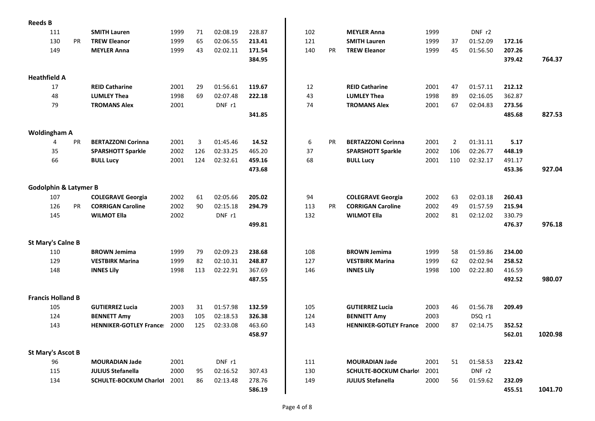| <b>Reeds B</b>                   |           |                                             |              |          |          |                  |          |           |                                             |              |                |                      |        |
|----------------------------------|-----------|---------------------------------------------|--------------|----------|----------|------------------|----------|-----------|---------------------------------------------|--------------|----------------|----------------------|--------|
| 111                              |           | <b>SMITH Lauren</b>                         | 1999         | 71       | 02:08.19 | 228.87           | 102      |           | <b>MEYLER Anna</b>                          | 1999         |                | DNF r2               |        |
| 130                              | <b>PR</b> | <b>TREW Eleanor</b>                         | 1999         | 65       | 02:06.55 | 213.41           | 121      |           | <b>SMITH Lauren</b>                         | 1999         | 37             | 01:52.09             | 172.16 |
| 149                              |           | <b>MEYLER Anna</b>                          | 1999         | 43       | 02:02.11 | 171.54           | 140      | PR        | <b>TREW Eleanor</b>                         | 1999         | 45             | 01:56.50             | 207.26 |
|                                  |           |                                             |              |          |          | 384.95           |          |           |                                             |              |                |                      | 379.42 |
|                                  |           |                                             |              |          |          |                  |          |           |                                             |              |                |                      |        |
| <b>Heathfield A</b>              |           |                                             |              |          | 01:56.61 |                  |          |           |                                             |              |                |                      |        |
| 17<br>48                         |           | <b>REID Catharine</b><br><b>LUMLEY Thea</b> | 2001<br>1998 | 29<br>69 | 02:07.48 | 119.67<br>222.18 | 12<br>43 |           | <b>REID Catharine</b><br><b>LUMLEY Thea</b> | 2001<br>1998 | 47<br>89       | 01:57.11<br>02:16.05 | 212.12 |
|                                  |           |                                             |              |          |          |                  |          |           | <b>TROMANS Alex</b>                         |              |                |                      | 362.87 |
| 79                               |           | <b>TROMANS Alex</b>                         | 2001         |          | DNF r1   |                  | 74       |           |                                             | 2001         | 67             | 02:04.83             | 273.56 |
|                                  |           |                                             |              |          |          | 341.85           |          |           |                                             |              |                |                      | 485.68 |
| <b>Woldingham A</b>              |           |                                             |              |          |          |                  |          |           |                                             |              |                |                      |        |
| 4                                | <b>PR</b> | <b>BERTAZZONI Corinna</b>                   | 2001         | 3        | 01:45.46 | 14.52            | 6        | <b>PR</b> | <b>BERTAZZONI Corinna</b>                   | 2001         | $\overline{2}$ | 01:31.11             | 5.17   |
| 35                               |           | <b>SPARSHOTT Sparkle</b>                    | 2002         | 126      | 02:33.25 | 465.20           | 37       |           | <b>SPARSHOTT Sparkle</b>                    | 2002         | 106            | 02:26.77             | 448.19 |
| 66                               |           | <b>BULL Lucy</b>                            | 2001         | 124      | 02:32.61 | 459.16           | 68       |           | <b>BULL Lucy</b>                            | 2001         | 110            | 02:32.17             | 491.17 |
|                                  |           |                                             |              |          |          | 473.68           |          |           |                                             |              |                |                      | 453.36 |
| <b>Godolphin &amp; Latymer B</b> |           |                                             |              |          |          |                  |          |           |                                             |              |                |                      |        |
| 107                              |           | <b>COLEGRAVE Georgia</b>                    | 2002         | 61       | 02:05.66 | 205.02           | 94       |           | <b>COLEGRAVE Georgia</b>                    | 2002         | 63             | 02:03.18             | 260.43 |
| 126                              | <b>PR</b> | <b>CORRIGAN Caroline</b>                    | 2002         | 90       | 02:15.18 | 294.79           | 113      | <b>PR</b> | <b>CORRIGAN Caroline</b>                    | 2002         | 49             | 01:57.59             | 215.94 |
| 145                              |           | <b>WILMOT Ella</b>                          | 2002         |          | DNF r1   |                  | 132      |           | <b>WILMOT Ella</b>                          | 2002         | 81             | 02:12.02             | 330.79 |
|                                  |           |                                             |              |          |          | 499.81           |          |           |                                             |              |                |                      | 476.37 |
|                                  |           |                                             |              |          |          |                  |          |           |                                             |              |                |                      |        |
| <b>St Mary's Calne B</b><br>110  |           | <b>BROWN Jemima</b>                         | 1999         | 79       | 02:09.23 | 238.68           | 108      |           | <b>BROWN Jemima</b>                         | 1999         | 58             | 01:59.86             | 234.00 |
| 129                              |           | <b>VESTBIRK Marina</b>                      | 1999         | 82       | 02:10.31 | 248.87           | 127      |           | <b>VESTBIRK Marina</b>                      | 1999         | 62             | 02:02.94             | 258.52 |
| 148                              |           |                                             | 1998         | 113      | 02:22.91 | 367.69           | 146      |           | <b>INNES Lily</b>                           | 1998         | 100            | 02:22.80             | 416.59 |
|                                  |           | <b>INNES Lily</b>                           |              |          |          | 487.55           |          |           |                                             |              |                |                      | 492.52 |
|                                  |           |                                             |              |          |          |                  |          |           |                                             |              |                |                      |        |
| <b>Francis Holland B</b>         |           |                                             |              |          |          |                  |          |           |                                             |              |                |                      |        |
| 105                              |           | <b>GUTIERREZ Lucia</b>                      | 2003         | 31       | 01:57.98 | 132.59           | 105      |           | <b>GUTIERREZ Lucia</b>                      | 2003         | 46             | 01:56.78             | 209.49 |
| 124                              |           | <b>BENNETT Amy</b>                          | 2003         | 105      | 02:18.53 | 326.38           | 124      |           | <b>BENNETT Amy</b>                          | 2003         |                | DSQ r1               |        |
| 143                              |           | <b>HENNIKER-GOTLEY France:</b>              | 2000         | 125      | 02:33.08 | 463.60           | 143      |           | <b>HENNIKER-GOTLEY France:</b>              | 2000         | 87             | 02:14.75             | 352.52 |
|                                  |           |                                             |              |          |          | 458.97           |          |           |                                             |              |                |                      | 562.01 |
| <b>St Mary's Ascot B</b>         |           |                                             |              |          |          |                  |          |           |                                             |              |                |                      |        |
| 96                               |           | <b>MOURADIAN Jade</b>                       | 2001         |          | DNF r1   |                  | 111      |           | <b>MOURADIAN Jade</b>                       | 2001         | 51             | 01:58.53             | 223.42 |
| 115                              |           | <b>JULIUS Stefanella</b>                    | 2000         | 95       | 02:16.52 | 307.43           | 130      |           | <b>SCHULTE-BOCKUM Charlot</b>               | 2001         |                | DNF r2               |        |
| 134                              |           | <b>SCHULTE-BOCKUM Charlot</b>               | 2001         | 86       | 02:13.48 | 278.76           | 149      |           | <b>JULIUS Stefanella</b>                    | 2000         | 56             | 01:59.62             | 232.09 |
|                                  |           |                                             |              |          |          | 586.19           |          |           |                                             |              |                |                      | 455.51 |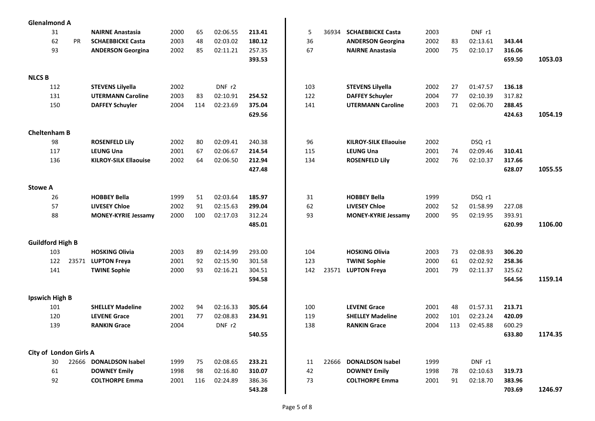| <b>Glenalmond A</b>     |     |           |                              |      |     |          |        |     |       |                              |      |     |          |        |         |
|-------------------------|-----|-----------|------------------------------|------|-----|----------|--------|-----|-------|------------------------------|------|-----|----------|--------|---------|
|                         | 31  |           | <b>NAIRNE Anastasia</b>      | 2000 | 65  | 02:06.55 | 213.41 | 5   | 36934 | <b>SCHAEBBICKE Casta</b>     | 2003 |     | DNF r1   |        |         |
|                         | 62  | <b>PR</b> | <b>SCHAEBBICKE Casta</b>     | 2003 | 48  | 02:03.02 | 180.12 | 36  |       | <b>ANDERSON Georgina</b>     | 2002 | 83  | 02:13.61 | 343.44 |         |
|                         | 93  |           | <b>ANDERSON Georgina</b>     | 2002 | 85  | 02:11.21 | 257.35 | 67  |       | <b>NAIRNE Anastasia</b>      | 2000 | 75  | 02:10.17 | 316.06 |         |
|                         |     |           |                              |      |     |          | 393.53 |     |       |                              |      |     |          | 659.50 | 1053.03 |
|                         |     |           |                              |      |     |          |        |     |       |                              |      |     |          |        |         |
| <b>NLCS B</b>           |     |           |                              |      |     |          |        |     |       |                              |      |     |          |        |         |
|                         | 112 |           | <b>STEVENS Lilyella</b>      | 2002 |     | DNF r2   |        | 103 |       | <b>STEVENS Lilyella</b>      | 2002 | 27  | 01:47.57 | 136.18 |         |
|                         | 131 |           | <b>UTERMANN Caroline</b>     | 2003 | 83  | 02:10.91 | 254.52 | 122 |       | <b>DAFFEY Schuyler</b>       | 2004 | 77  | 02:10.39 | 317.82 |         |
|                         | 150 |           | <b>DAFFEY Schuyler</b>       | 2004 | 114 | 02:23.69 | 375.04 | 141 |       | <b>UTERMANN Caroline</b>     | 2003 | 71  | 02:06.70 | 288.45 |         |
|                         |     |           |                              |      |     |          | 629.56 |     |       |                              |      |     |          | 424.63 | 1054.19 |
|                         |     |           |                              |      |     |          |        |     |       |                              |      |     |          |        |         |
| <b>Cheltenham B</b>     |     |           |                              |      |     |          |        |     |       |                              |      |     |          |        |         |
|                         | 98  |           | <b>ROSENFELD Lily</b>        | 2002 | 80  | 02:09.41 | 240.38 | 96  |       | <b>KILROY-SILK Ellaouise</b> | 2002 |     | DSQ r1   |        |         |
|                         | 117 |           | <b>LEUNG Una</b>             | 2001 | 67  | 02:06.67 | 214.54 | 115 |       | <b>LEUNG Una</b>             | 2001 | 74  | 02:09.46 | 310.41 |         |
|                         | 136 |           | <b>KILROY-SILK Ellaouise</b> | 2002 | 64  | 02:06.50 | 212.94 | 134 |       | <b>ROSENFELD Lily</b>        | 2002 | 76  | 02:10.37 | 317.66 |         |
|                         |     |           |                              |      |     |          | 427.48 |     |       |                              |      |     |          | 628.07 | 1055.55 |
|                         |     |           |                              |      |     |          |        |     |       |                              |      |     |          |        |         |
| <b>Stowe A</b>          |     |           |                              |      |     |          |        |     |       |                              |      |     |          |        |         |
|                         | 26  |           | <b>HOBBEY Bella</b>          | 1999 | 51  | 02:03.64 | 185.97 | 31  |       | <b>HOBBEY Bella</b>          | 1999 |     | DSQ r1   |        |         |
|                         | 57  |           | <b>LIVESEY Chloe</b>         | 2002 | 91  | 02:15.63 | 299.04 | 62  |       | <b>LIVESEY Chloe</b>         | 2002 | 52  | 01:58.99 | 227.08 |         |
|                         | 88  |           | <b>MONEY-KYRIE Jessamy</b>   | 2000 | 100 | 02:17.03 | 312.24 | 93  |       | <b>MONEY-KYRIE Jessamy</b>   | 2000 | 95  | 02:19.95 | 393.91 |         |
|                         |     |           |                              |      |     |          | 485.01 |     |       |                              |      |     |          | 620.99 | 1106.00 |
|                         |     |           |                              |      |     |          |        |     |       |                              |      |     |          |        |         |
| <b>Guildford High B</b> |     |           |                              |      |     |          |        |     |       |                              |      |     |          |        |         |
|                         | 103 |           | <b>HOSKING Olivia</b>        | 2003 | 89  | 02:14.99 | 293.00 | 104 |       | <b>HOSKING Olivia</b>        | 2003 | 73  | 02:08.93 | 306.20 |         |
|                         | 122 |           | 23571 LUPTON Freya           | 2001 | 92  | 02:15.90 | 301.58 | 123 |       | <b>TWINE Sophie</b>          | 2000 | 61  | 02:02.92 | 258.36 |         |
|                         | 141 |           | <b>TWINE Sophie</b>          | 2000 | 93  | 02:16.21 | 304.51 | 142 | 23571 | <b>LUPTON Freya</b>          | 2001 | 79  | 02:11.37 | 325.62 |         |
|                         |     |           |                              |      |     |          | 594.58 |     |       |                              |      |     |          | 564.56 | 1159.14 |
|                         |     |           |                              |      |     |          |        |     |       |                              |      |     |          |        |         |
| <b>Ipswich High B</b>   |     |           |                              |      |     |          |        |     |       |                              |      |     |          |        |         |
|                         | 101 |           | <b>SHELLEY Madeline</b>      | 2002 | 94  | 02:16.33 | 305.64 | 100 |       | <b>LEVENE Grace</b>          | 2001 | 48  | 01:57.31 | 213.71 |         |
|                         | 120 |           | <b>LEVENE Grace</b>          | 2001 | 77  | 02:08.83 | 234.91 | 119 |       | <b>SHELLEY Madeline</b>      | 2002 | 101 | 02:23.24 | 420.09 |         |
|                         | 139 |           | <b>RANKIN Grace</b>          | 2004 |     | DNF r2   |        | 138 |       | <b>RANKIN Grace</b>          | 2004 | 113 | 02:45.88 | 600.29 |         |
|                         |     |           |                              |      |     |          | 540.55 |     |       |                              |      |     |          | 633.80 | 1174.35 |
|                         |     |           |                              |      |     |          |        |     |       |                              |      |     |          |        |         |
| City of London Girls A  |     |           |                              |      |     |          |        |     |       |                              |      |     |          |        |         |
|                         | 30  |           | 22666 DONALDSON Isabel       | 1999 | 75  | 02:08.65 | 233.21 | 11  | 22666 | <b>DONALDSON Isabel</b>      | 1999 |     | DNF r1   |        |         |
|                         | 61  |           | <b>DOWNEY Emily</b>          | 1998 | 98  | 02:16.80 | 310.07 | 42  |       | <b>DOWNEY Emily</b>          | 1998 | 78  | 02:10.63 | 319.73 |         |
|                         | 92  |           | <b>COLTHORPE Emma</b>        | 2001 | 116 | 02:24.89 | 386.36 | 73  |       | <b>COLTHORPE Emma</b>        | 2001 | 91  | 02:18.70 | 383.96 |         |
|                         |     |           |                              |      |     |          | 543.28 |     |       |                              |      |     |          | 703.69 | 1246.97 |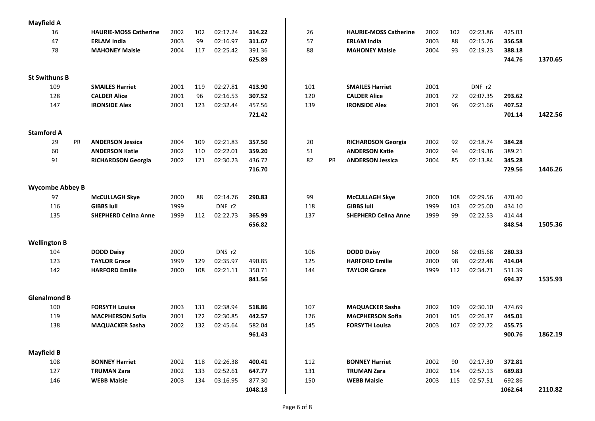| <b>Mayfield A</b>            |                                            |      |     |          |         |     |    |                                            |      |     |                      |         |         |
|------------------------------|--------------------------------------------|------|-----|----------|---------|-----|----|--------------------------------------------|------|-----|----------------------|---------|---------|
| 16                           | <b>HAURIE-MOSS Catherine</b>               | 2002 | 102 | 02:17.24 | 314.22  | 26  |    | <b>HAURIE-MOSS Catherine</b>               | 2002 | 102 | 02:23.86             | 425.03  |         |
| 47                           | <b>ERLAM India</b>                         | 2003 | 99  | 02:16.97 | 311.67  | 57  |    | <b>ERLAM India</b>                         | 2003 | 88  | 02:15.26             | 356.58  |         |
| 78                           | <b>MAHONEY Maisie</b>                      | 2004 | 117 | 02:25.42 | 391.36  | 88  |    | <b>MAHONEY Maisie</b>                      | 2004 | 93  | 02:19.23             | 388.18  |         |
|                              |                                            |      |     |          | 625.89  |     |    |                                            |      |     |                      | 744.76  | 1370.65 |
|                              |                                            |      |     |          |         |     |    |                                            |      |     |                      |         |         |
| <b>St Swithuns B</b>         |                                            |      |     |          |         |     |    |                                            |      |     |                      |         |         |
| 109                          | <b>SMAILES Harriet</b>                     | 2001 | 119 | 02:27.81 | 413.90  | 101 |    | <b>SMAILES Harriet</b>                     | 2001 |     | DNF r2               |         |         |
| 128                          | <b>CALDER Alice</b>                        | 2001 | 96  | 02:16.53 | 307.52  | 120 |    | <b>CALDER Alice</b>                        | 2001 | 72  | 02:07.35             | 293.62  |         |
| 147                          | <b>IRONSIDE Alex</b>                       | 2001 | 123 | 02:32.44 | 457.56  | 139 |    | <b>IRONSIDE Alex</b>                       | 2001 | 96  | 02:21.66             | 407.52  |         |
|                              |                                            |      |     |          | 721.42  |     |    |                                            |      |     |                      | 701.14  | 1422.56 |
|                              |                                            |      |     |          |         |     |    |                                            |      |     |                      |         |         |
| <b>Stamford A</b>            |                                            |      |     |          |         |     |    |                                            |      |     |                      |         |         |
| 29<br>PR                     | <b>ANDERSON Jessica</b>                    | 2004 | 109 | 02:21.83 | 357.50  | 20  |    | <b>RICHARDSON Georgia</b>                  | 2002 | 92  | 02:18.74             | 384.28  |         |
| 60                           | <b>ANDERSON Katie</b>                      | 2002 | 110 | 02:22.01 | 359.20  | 51  |    | <b>ANDERSON Katie</b>                      | 2002 | 94  | 02:19.36             | 389.21  |         |
| 91                           | <b>RICHARDSON Georgia</b>                  | 2002 | 121 | 02:30.23 | 436.72  | 82  | PR | <b>ANDERSON Jessica</b>                    | 2004 | 85  | 02:13.84             | 345.28  |         |
|                              |                                            |      |     |          | 716.70  |     |    |                                            |      |     |                      | 729.56  | 1446.26 |
|                              |                                            |      |     |          |         |     |    |                                            |      |     |                      |         |         |
| <b>Wycombe Abbey B</b><br>97 |                                            | 2000 | 88  | 02:14.76 | 290.83  | 99  |    |                                            | 2000 | 108 |                      | 470.40  |         |
| 116                          | <b>McCULLAGH Skye</b><br><b>GIBBS luli</b> | 1999 |     | DNF r2   |         | 118 |    | <b>McCULLAGH Skye</b><br><b>GIBBS luli</b> | 1999 | 103 | 02:29.56<br>02:25.00 | 434.10  |         |
|                              | <b>SHEPHERD Celina Anne</b>                | 1999 | 112 | 02:22.73 | 365.99  | 137 |    | <b>SHEPHERD Celina Anne</b>                | 1999 | 99  | 02:22.53             | 414.44  |         |
| 135                          |                                            |      |     |          | 656.82  |     |    |                                            |      |     |                      | 848.54  | 1505.36 |
|                              |                                            |      |     |          |         |     |    |                                            |      |     |                      |         |         |
| <b>Wellington B</b>          |                                            |      |     |          |         |     |    |                                            |      |     |                      |         |         |
| 104                          | <b>DODD Daisy</b>                          | 2000 |     | DNS r2   |         | 106 |    | <b>DODD Daisy</b>                          | 2000 | 68  | 02:05.68             | 280.33  |         |
| 123                          | <b>TAYLOR Grace</b>                        | 1999 | 129 | 02:35.97 | 490.85  | 125 |    | <b>HARFORD Emilie</b>                      | 2000 | 98  | 02:22.48             | 414.04  |         |
| 142                          | <b>HARFORD Emilie</b>                      | 2000 | 108 | 02:21.11 | 350.71  | 144 |    | <b>TAYLOR Grace</b>                        | 1999 | 112 | 02:34.71             | 511.39  |         |
|                              |                                            |      |     |          | 841.56  |     |    |                                            |      |     |                      | 694.37  | 1535.93 |
|                              |                                            |      |     |          |         |     |    |                                            |      |     |                      |         |         |
| <b>Glenalmond B</b>          |                                            |      |     |          |         |     |    |                                            |      |     |                      |         |         |
| 100                          | <b>FORSYTH Louisa</b>                      | 2003 | 131 | 02:38.94 | 518.86  | 107 |    | <b>MAQUACKER Sasha</b>                     | 2002 | 109 | 02:30.10             | 474.69  |         |
| 119                          | <b>MACPHERSON Sofia</b>                    | 2001 | 122 | 02:30.85 | 442.57  | 126 |    | <b>MACPHERSON Sofia</b>                    | 2001 | 105 | 02:26.37             | 445.01  |         |
| 138                          | <b>MAQUACKER Sasha</b>                     | 2002 | 132 | 02:45.64 | 582.04  | 145 |    | <b>FORSYTH Louisa</b>                      | 2003 | 107 | 02:27.72             | 455.75  |         |
|                              |                                            |      |     |          | 961.43  |     |    |                                            |      |     |                      | 900.76  | 1862.19 |
| <b>Mayfield B</b>            |                                            |      |     |          |         |     |    |                                            |      |     |                      |         |         |
| 108                          | <b>BONNEY Harriet</b>                      | 2002 | 118 | 02:26.38 | 400.41  | 112 |    | <b>BONNEY Harriet</b>                      | 2002 | 90  | 02:17.30             | 372.81  |         |
| 127                          | <b>TRUMAN Zara</b>                         | 2002 | 133 | 02:52.61 | 647.77  | 131 |    | <b>TRUMAN Zara</b>                         | 2002 | 114 | 02:57.13             | 689.83  |         |
| 146                          | <b>WEBB Maisie</b>                         | 2003 | 134 | 03:16.95 | 877.30  | 150 |    | <b>WEBB Maisie</b>                         | 2003 | 115 | 02:57.51             | 692.86  |         |
|                              |                                            |      |     |          | 1048.18 |     |    |                                            |      |     |                      | 1062.64 | 2110.82 |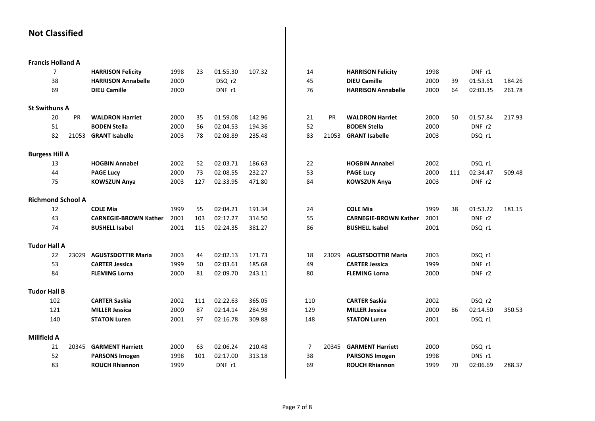## **Not Classified**

| <b>Francis Holland A</b> |                |                          |                              |      |     |          |        |                |       |                              |      |     |          |        |
|--------------------------|----------------|--------------------------|------------------------------|------|-----|----------|--------|----------------|-------|------------------------------|------|-----|----------|--------|
|                          | $\overline{7}$ |                          | <b>HARRISON Felicity</b>     | 1998 | 23  | 01:55.30 | 107.32 | 14             |       | <b>HARRISON Felicity</b>     | 1998 |     | DNF r1   |        |
|                          | 38             |                          | <b>HARRISON Annabelle</b>    | 2000 |     | DSQ r2   |        | 45             |       | <b>DIEU Camille</b>          | 2000 | 39  | 01:53.61 | 184.26 |
|                          | 69             |                          | <b>DIEU Camille</b>          | 2000 |     | DNF r1   |        | 76             |       | <b>HARRISON Annabelle</b>    | 2000 | 64  | 02:03.35 | 261.78 |
| <b>St Swithuns A</b>     |                |                          |                              |      |     |          |        |                |       |                              |      |     |          |        |
|                          | 20             | PR                       | <b>WALDRON Harriet</b>       | 2000 | 35  | 01:59.08 | 142.96 | 21             | PR    | <b>WALDRON Harriet</b>       | 2000 | 50  | 01:57.84 | 217.93 |
|                          | 51             |                          | <b>BODEN Stella</b>          | 2000 | 56  | 02:04.53 | 194.36 | 52             |       | <b>BODEN Stella</b>          | 2000 |     | DNF r2   |        |
|                          | 82             | 21053                    | <b>GRANT Isabelle</b>        | 2003 | 78  | 02:08.89 | 235.48 | 83             | 21053 | <b>GRANT Isabelle</b>        | 2003 |     | DSQ r1   |        |
|                          |                |                          |                              |      |     |          |        |                |       |                              |      |     |          |        |
| <b>Burgess Hill A</b>    |                |                          |                              |      |     |          |        |                |       |                              |      |     |          |        |
|                          | 13             |                          | <b>HOGBIN Annabel</b>        | 2002 | 52  | 02:03.71 | 186.63 | 22             |       | <b>HOGBIN Annabel</b>        | 2002 |     | DSQ r1   |        |
|                          | 44             |                          | <b>PAGE Lucy</b>             | 2000 | 73  | 02:08.55 | 232.27 | 53             |       | <b>PAGE Lucy</b>             | 2000 | 111 | 02:34.47 | 509.48 |
|                          | 75             |                          | <b>KOWSZUN Anya</b>          | 2003 | 127 | 02:33.95 | 471.80 | 84             |       | <b>KOWSZUN Anya</b>          | 2003 |     | DNF r2   |        |
|                          |                | <b>Richmond School A</b> |                              |      |     |          |        |                |       |                              |      |     |          |        |
|                          | 12             |                          | <b>COLE Mia</b>              | 1999 | 55  | 02:04.21 | 191.34 | 24             |       | <b>COLE Mia</b>              | 1999 | 38  | 01:53.22 | 181.15 |
|                          | 43             |                          | <b>CARNEGIE-BROWN Kather</b> | 2001 | 103 | 02:17.27 | 314.50 | 55             |       | <b>CARNEGIE-BROWN Kather</b> | 2001 |     | DNF r2   |        |
|                          | 74             |                          | <b>BUSHELL Isabel</b>        | 2001 | 115 | 02:24.35 | 381.27 | 86             |       | <b>BUSHELL Isabel</b>        | 2001 |     | DSQ r1   |        |
|                          |                |                          |                              |      |     |          |        |                |       |                              |      |     |          |        |
| <b>Tudor Hall A</b>      |                |                          |                              |      |     |          |        |                |       |                              |      |     |          |        |
|                          | 22             | 23029                    | <b>AGUSTSDOTTIR Maria</b>    | 2003 | 44  | 02:02.13 | 171.73 | 18             | 23029 | <b>AGUSTSDOTTIR Maria</b>    | 2003 |     | DSQ r1   |        |
|                          | 53             |                          | <b>CARTER Jessica</b>        | 1999 | 50  | 02:03.61 | 185.68 | 49             |       | <b>CARTER Jessica</b>        | 1999 |     | DNF r1   |        |
|                          | 84             |                          | <b>FLEMING Lorna</b>         | 2000 | 81  | 02:09.70 | 243.11 | 80             |       | <b>FLEMING Lorna</b>         | 2000 |     | DNF r2   |        |
| <b>Tudor Hall B</b>      |                |                          |                              |      |     |          |        |                |       |                              |      |     |          |        |
|                          | 102            |                          | <b>CARTER Saskia</b>         | 2002 | 111 | 02:22.63 | 365.05 | 110            |       | <b>CARTER Saskia</b>         | 2002 |     | DSQ r2   |        |
|                          | 121            |                          | <b>MILLER Jessica</b>        | 2000 | 87  | 02:14.14 | 284.98 | 129            |       | <b>MILLER Jessica</b>        | 2000 | 86  | 02:14.50 | 350.53 |
|                          | 140            |                          | <b>STATON Luren</b>          | 2001 | 97  | 02:16.78 | 309.88 | 148            |       | <b>STATON Luren</b>          | 2001 |     | DSQ r1   |        |
|                          |                |                          |                              |      |     |          |        |                |       |                              |      |     |          |        |
| <b>Millfield A</b>       |                |                          |                              |      |     |          |        |                |       |                              |      |     |          |        |
|                          | 21             | 20345                    | <b>GARMENT Harriett</b>      | 2000 | 63  | 02:06.24 | 210.48 | $\overline{7}$ | 20345 | <b>GARMENT Harriett</b>      | 2000 |     | DSQ r1   |        |
|                          | 52             |                          | <b>PARSONS Imogen</b>        | 1998 | 101 | 02:17.00 | 313.18 | 38             |       | <b>PARSONS Imogen</b>        | 1998 |     | DNS r1   |        |
|                          | 83             |                          | <b>ROUCH Rhiannon</b>        | 1999 |     | DNF r1   |        | 69             |       | <b>ROUCH Rhiannon</b>        | 1999 | 70  | 02:06.69 | 288.37 |